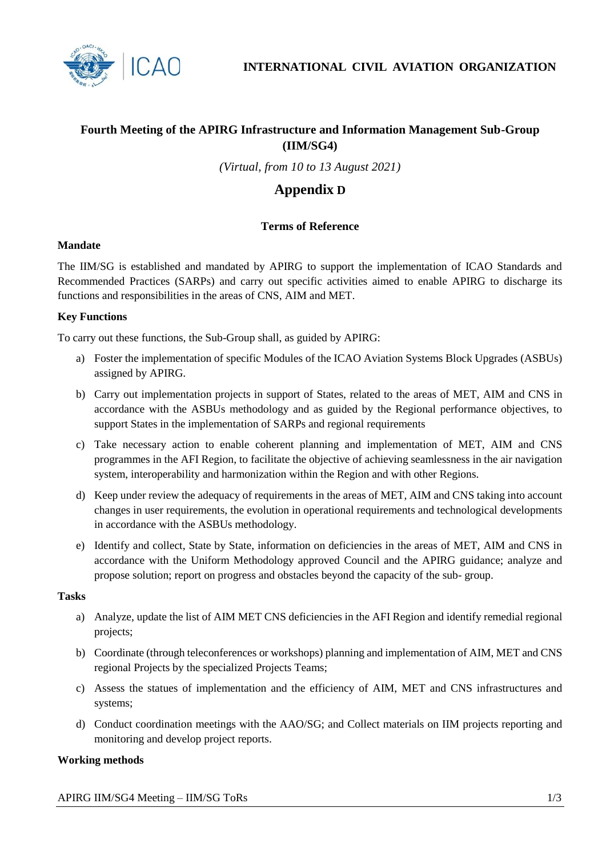

**INTERNATIONAL CIVIL AVIATION ORGANIZATION**

# **Fourth Meeting of the APIRG Infrastructure and Information Management Sub-Group (IIM/SG4)**

*(Virtual, from 10 to 13 August 2021)*

# **Appendix D**

# **Terms of Reference**

## **Mandate**

The IIM/SG is established and mandated by APIRG to support the implementation of ICAO Standards and Recommended Practices (SARPs) and carry out specific activities aimed to enable APIRG to discharge its functions and responsibilities in the areas of CNS, AIM and MET.

### **Key Functions**

To carry out these functions, the Sub-Group shall, as guided by APIRG:

- a) Foster the implementation of specific Modules of the ICAO Aviation Systems Block Upgrades (ASBUs) assigned by APIRG.
- b) Carry out implementation projects in support of States, related to the areas of MET, AIM and CNS in accordance with the ASBUs methodology and as guided by the Regional performance objectives, to support States in the implementation of SARPs and regional requirements
- c) Take necessary action to enable coherent planning and implementation of MET, AIM and CNS programmes in the AFI Region, to facilitate the objective of achieving seamlessness in the air navigation system, interoperability and harmonization within the Region and with other Regions.
- d) Keep under review the adequacy of requirements in the areas of MET, AIM and CNS taking into account changes in user requirements, the evolution in operational requirements and technological developments in accordance with the ASBUs methodology.
- e) Identify and collect, State by State, information on deficiencies in the areas of MET, AIM and CNS in accordance with the Uniform Methodology approved Council and the APIRG guidance; analyze and propose solution; report on progress and obstacles beyond the capacity of the sub- group.

#### **Tasks**

- a) Analyze, update the list of AIM MET CNS deficiencies in the AFI Region and identify remedial regional projects;
- b) Coordinate (through teleconferences or workshops) planning and implementation of AIM, MET and CNS regional Projects by the specialized Projects Teams;
- c) Assess the statues of implementation and the efficiency of AIM, MET and CNS infrastructures and systems;
- d) Conduct coordination meetings with the AAO/SG; and Collect materials on IIM projects reporting and monitoring and develop project reports.

#### **Working methods**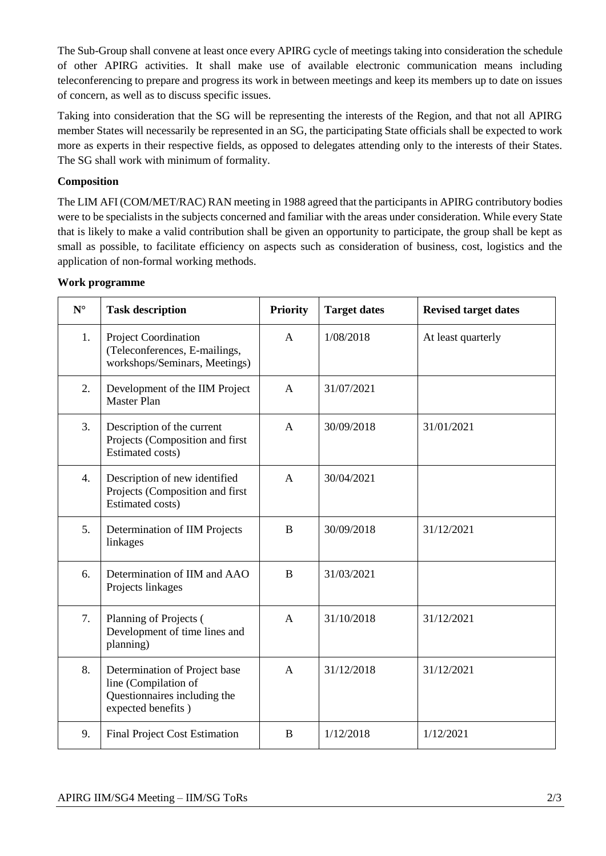The Sub-Group shall convene at least once every APIRG cycle of meetings taking into consideration the schedule of other APIRG activities. It shall make use of available electronic communication means including teleconferencing to prepare and progress its work in between meetings and keep its members up to date on issues of concern, as well as to discuss specific issues.

Taking into consideration that the SG will be representing the interests of the Region, and that not all APIRG member States will necessarily be represented in an SG, the participating State officials shall be expected to work more as experts in their respective fields, as opposed to delegates attending only to the interests of their States. The SG shall work with minimum of formality.

# **Composition**

The LIM AFI (COM/MET/RAC) RAN meeting in 1988 agreed that the participants in APIRG contributory bodies were to be specialists in the subjects concerned and familiar with the areas under consideration. While every State that is likely to make a valid contribution shall be given an opportunity to participate, the group shall be kept as small as possible, to facilitate efficiency on aspects such as consideration of business, cost, logistics and the application of non-formal working methods.

## **Work programme**

| $N^{\circ}$      | <b>Task description</b>                                                                                     | <b>Priority</b> | <b>Target dates</b> | <b>Revised target dates</b> |
|------------------|-------------------------------------------------------------------------------------------------------------|-----------------|---------------------|-----------------------------|
| 1.               | <b>Project Coordination</b><br>(Teleconferences, E-mailings,<br>workshops/Seminars, Meetings)               | $\mathsf{A}$    | 1/08/2018           | At least quarterly          |
| 2.               | Development of the IIM Project<br><b>Master Plan</b>                                                        | A               | 31/07/2021          |                             |
| 3.               | Description of the current<br>Projects (Composition and first<br>Estimated costs)                           | A               | 30/09/2018          | 31/01/2021                  |
| $\overline{4}$ . | Description of new identified<br>Projects (Composition and first<br>Estimated costs)                        | A               | 30/04/2021          |                             |
| 5.               | Determination of IIM Projects<br>linkages                                                                   | B               | 30/09/2018          | 31/12/2021                  |
| 6.               | Determination of IIM and AAO<br>Projects linkages                                                           | B               | 31/03/2021          |                             |
| 7.               | Planning of Projects (<br>Development of time lines and<br>planning)                                        | $\mathsf{A}$    | 31/10/2018          | 31/12/2021                  |
| 8.               | Determination of Project base<br>line (Compilation of<br>Questionnaires including the<br>expected benefits) | $\mathsf{A}$    | 31/12/2018          | 31/12/2021                  |
| 9.               | <b>Final Project Cost Estimation</b>                                                                        | B               | 1/12/2018           | 1/12/2021                   |